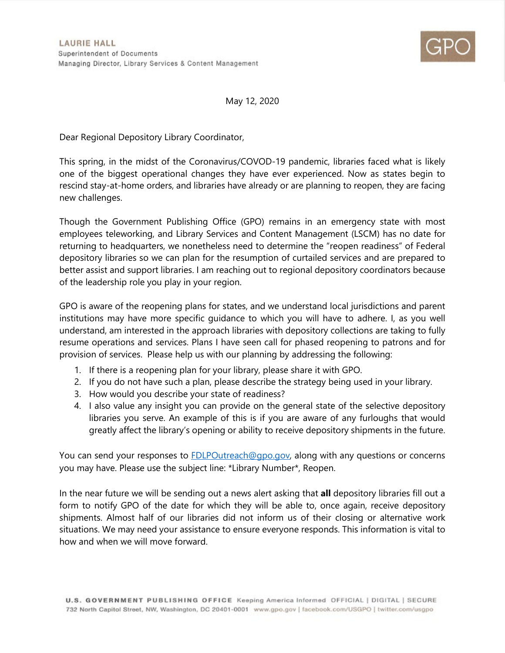

May 12, 2020

Dear Regional Depository Library Coordinator,

This spring, in the midst of the Coronavirus/COVOD-19 pandemic, libraries faced what is likely one of the biggest operational changes they have ever experienced. Now as states begin to rescind stay-at-home orders, and libraries have already or are planning to reopen, they are facing new challenges.

Though the Government Publishing Office (GPO) remains in an emergency state with most employees teleworking, and Library Services and Content Management (LSCM) has no date for returning to headquarters, we nonetheless need to determine the "reopen readiness" of Federal depository libraries so we can plan for the resumption of curtailed services and are prepared to better assist and support libraries. I am reaching out to regional depository coordinators because of the leadership role you play in your region.

GPO is aware of the reopening plans for states, and we understand local jurisdictions and parent institutions may have more specific guidance to which you will have to adhere. I, as you well understand, am interested in the approach libraries with depository collections are taking to fully resume operations and services. Plans I have seen call for phased reopening to patrons and for provision of services. Please help us with our planning by addressing the following:

- 1. If there is a reopening plan for your library, please share it with GPO.
- 2. If you do not have such a plan, please describe the strategy being used in your library.
- 3. How would you describe your state of readiness?
- 4. I also value any insight you can provide on the general state of the selective depository libraries you serve. An example of this is if you are aware of any furloughs that would greatly affect the library's opening or ability to receive depository shipments in the future.

You can send your responses to [FDLPOutreach@gpo.gov,](mailto:FDLPOutreach@gpo.gov) along with any questions or concerns you may have. Please use the subject line: \*Library Number\*, Reopen.

In the near future we will be sending out a news alert asking that **all** depository libraries fill out a form to notify GPO of the date for which they will be able to, once again, receive depository shipments. Almost half of our libraries did not inform us of their closing or alternative work situations. We may need your assistance to ensure everyone responds. This information is vital to how and when we will move forward.